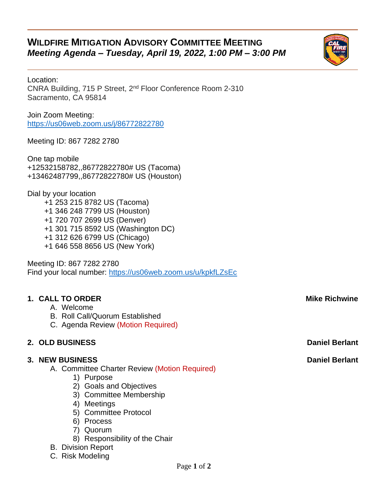# **WILDFIRE MITIGATION ADVISORY COMMITTEE MEETING** *Meeting Agenda – Tuesday, April 19, 2022, 1:00 PM – 3:00 PM*



Join Zoom Meeting: <https://us06web.zoom.us/j/86772822780>

Meeting ID: 867 7282 2780

One tap mobile +12532158782,,86772822780# US (Tacoma) +13462487799,,86772822780# US (Houston)

Dial by your location +1 253 215 8782 US (Tacoma) +1 346 248 7799 US (Houston) +1 720 707 2699 US (Denver) +1 301 715 8592 US (Washington DC) +1 312 626 6799 US (Chicago) +1 646 558 8656 US (New York)

Meeting ID: 867 7282 2780 Find your local number:<https://us06web.zoom.us/u/kpkfLZsEc>

### **1. CALL TO ORDER Mike Richwine**

- A. Welcome
- B. Roll Call/Quorum Established
- C. Agenda Review (Motion Required)

#### **2. OLD BUSINESS Daniel Berlant**

#### **3. NEW BUSINESS Daniel Berlant**

A. Committee Charter Review (Motion Required)

- 1) Purpose
- 2) Goals and Objectives
- 3) Committee Membership
- 4) Meetings
- 5) Committee Protocol
- 6) Process
- 7) Quorum
- 8) Responsibility of the Chair

#### B. Division Report

C. Risk Modeling